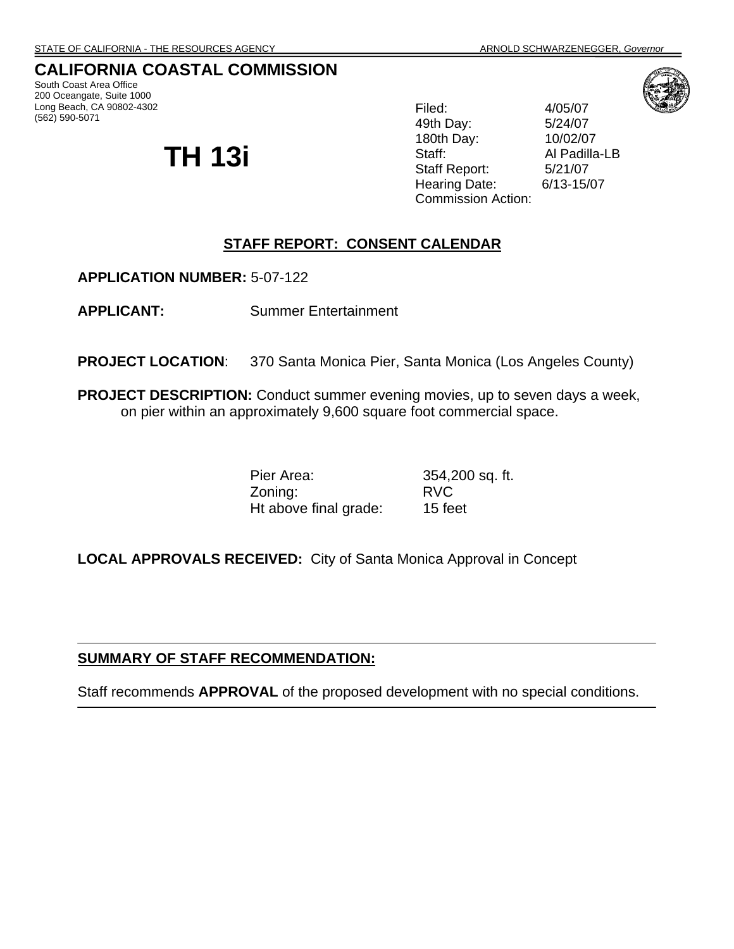# **CALIFORNIA COASTAL COMMISSION**

South Coast Area Office 200 Oceangate, Suite 1000 Long Beach, CA 90802-4302 (562) 590-5071

# **TH 13i**

Filed: 4/05/07 49th Day: 5/24/07 180th Day: 10/02/07 Staff: Al Padilla-LB Staff Report: 5/21/07 Hearing Date: 6/13-15/07 Commission Action:

# **STAFF REPORT: CONSENT CALENDAR**

**APPLICATION NUMBER:** 5-07-122

**APPLICANT:** Summer Entertainment

**PROJECT LOCATION:** 370 Santa Monica Pier, Santa Monica (Los Angeles County)

**PROJECT DESCRIPTION:** Conduct summer evening movies, up to seven days a week, on pier within an approximately 9,600 square foot commercial space.

> Pier Area: 354,200 sq. ft. Zoning: RVC Ht above final grade: 15 feet

**LOCAL APPROVALS RECEIVED:** City of Santa Monica Approval in Concept

#### **SUMMARY OF STAFF RECOMMENDATION:**

Staff recommends **APPROVAL** of the proposed development with no special conditions.

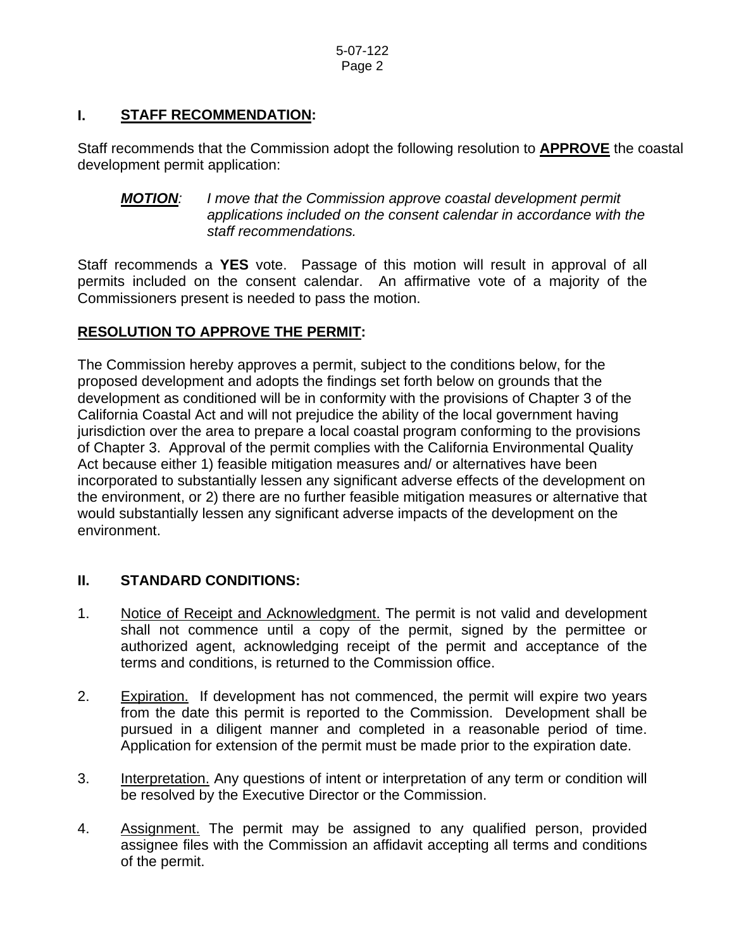#### **I. STAFF RECOMMENDATION:**

Staff recommends that the Commission adopt the following resolution to **APPROVE** the coastal development permit application:

*MOTION: I move that the Commission approve coastal development permit applications included on the consent calendar in accordance with the staff recommendations.* 

Staff recommends a **YES** vote. Passage of this motion will result in approval of all permits included on the consent calendar. An affirmative vote of a majority of the Commissioners present is needed to pass the motion.

## **RESOLUTION TO APPROVE THE PERMIT:**

The Commission hereby approves a permit, subject to the conditions below, for the proposed development and adopts the findings set forth below on grounds that the development as conditioned will be in conformity with the provisions of Chapter 3 of the California Coastal Act and will not prejudice the ability of the local government having jurisdiction over the area to prepare a local coastal program conforming to the provisions of Chapter 3. Approval of the permit complies with the California Environmental Quality Act because either 1) feasible mitigation measures and/ or alternatives have been incorporated to substantially lessen any significant adverse effects of the development on the environment, or 2) there are no further feasible mitigation measures or alternative that would substantially lessen any significant adverse impacts of the development on the environment.

## **II. STANDARD CONDITIONS:**

- 1. Notice of Receipt and Acknowledgment. The permit is not valid and development shall not commence until a copy of the permit, signed by the permittee or authorized agent, acknowledging receipt of the permit and acceptance of the terms and conditions, is returned to the Commission office.
- 2. Expiration. If development has not commenced, the permit will expire two years from the date this permit is reported to the Commission. Development shall be pursued in a diligent manner and completed in a reasonable period of time. Application for extension of the permit must be made prior to the expiration date.
- 3. Interpretation. Any questions of intent or interpretation of any term or condition will be resolved by the Executive Director or the Commission.
- 4. Assignment. The permit may be assigned to any qualified person, provided assignee files with the Commission an affidavit accepting all terms and conditions of the permit.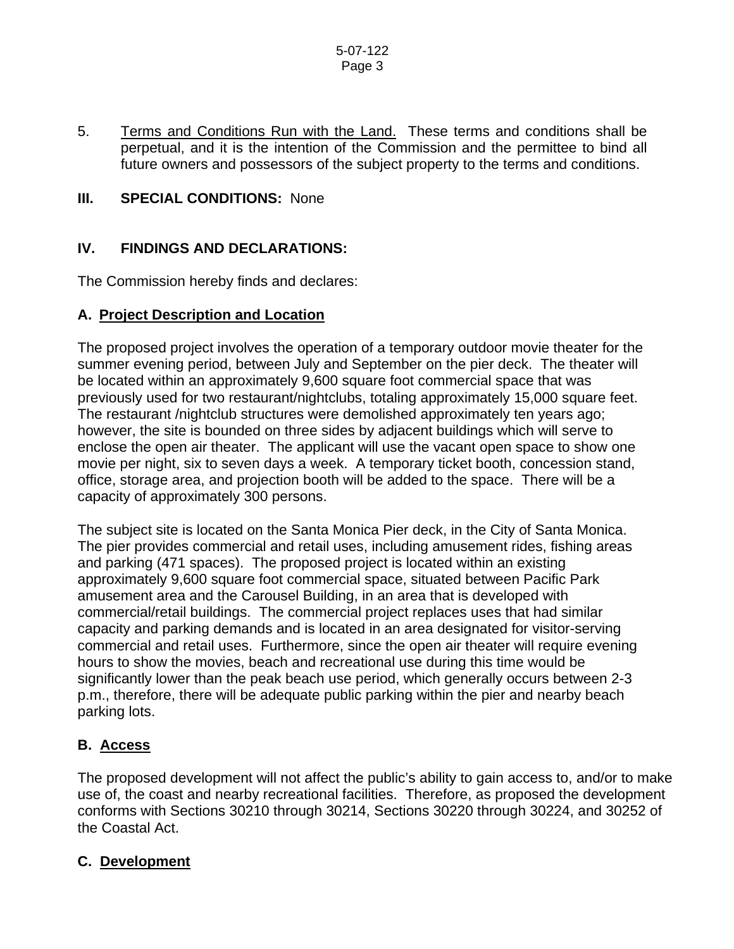#### 5-07-122 Page 3

5. Terms and Conditions Run with the Land. These terms and conditions shall be perpetual, and it is the intention of the Commission and the permittee to bind all future owners and possessors of the subject property to the terms and conditions.

## **III. SPECIAL CONDITIONS: None**

#### **IV. FINDINGS AND DECLARATIONS:**

The Commission hereby finds and declares:

#### **A. Project Description and Location**

The proposed project involves the operation of a temporary outdoor movie theater for the summer evening period, between July and September on the pier deck. The theater will be located within an approximately 9,600 square foot commercial space that was previously used for two restaurant/nightclubs, totaling approximately 15,000 square feet. The restaurant /nightclub structures were demolished approximately ten years ago; however, the site is bounded on three sides by adjacent buildings which will serve to enclose the open air theater. The applicant will use the vacant open space to show one movie per night, six to seven days a week. A temporary ticket booth, concession stand, office, storage area, and projection booth will be added to the space. There will be a capacity of approximately 300 persons.

The subject site is located on the Santa Monica Pier deck, in the City of Santa Monica. The pier provides commercial and retail uses, including amusement rides, fishing areas and parking (471 spaces). The proposed project is located within an existing approximately 9,600 square foot commercial space, situated between Pacific Park amusement area and the Carousel Building, in an area that is developed with commercial/retail buildings. The commercial project replaces uses that had similar capacity and parking demands and is located in an area designated for visitor-serving commercial and retail uses. Furthermore, since the open air theater will require evening hours to show the movies, beach and recreational use during this time would be significantly lower than the peak beach use period, which generally occurs between 2-3 p.m., therefore, there will be adequate public parking within the pier and nearby beach parking lots.

## **B. Access**

The proposed development will not affect the public's ability to gain access to, and/or to make use of, the coast and nearby recreational facilities. Therefore, as proposed the development conforms with Sections 30210 through 30214, Sections 30220 through 30224, and 30252 of the Coastal Act.

#### **C. Development**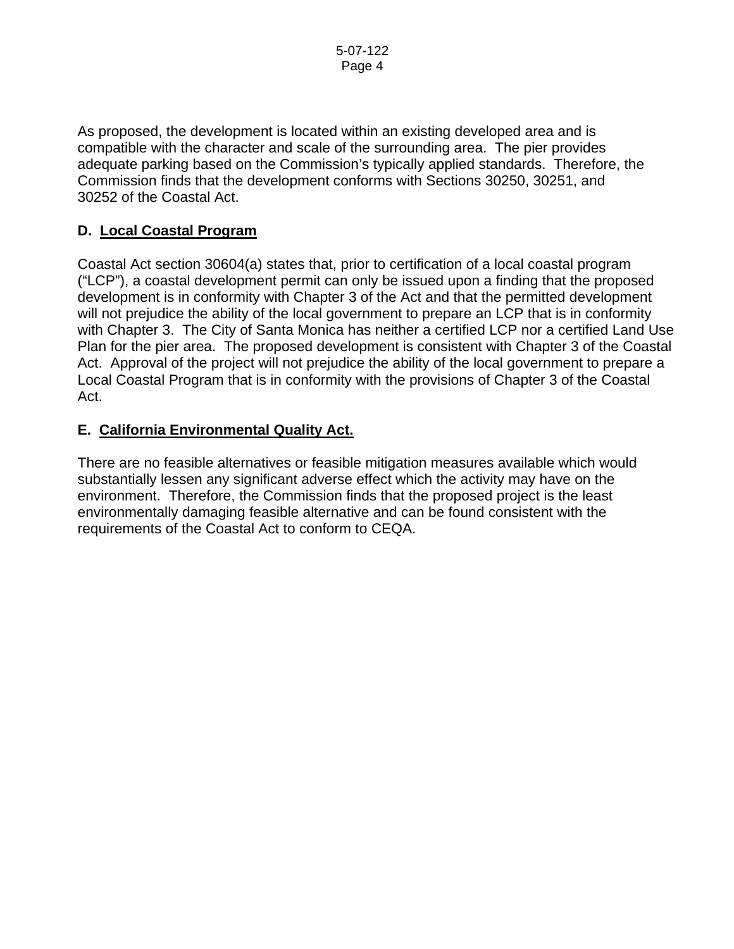As proposed, the development is located within an existing developed area and is compatible with the character and scale of the surrounding area. The pier provides adequate parking based on the Commission's typically applied standards. Therefore, the Commission finds that the development conforms with Sections 30250, 30251, and 30252 of the Coastal Act.

# **D. Local Coastal Program**

Coastal Act section 30604(a) states that, prior to certification of a local coastal program ("LCP"), a coastal development permit can only be issued upon a finding that the proposed development is in conformity with Chapter 3 of the Act and that the permitted development will not prejudice the ability of the local government to prepare an LCP that is in conformity with Chapter 3. The City of Santa Monica has neither a certified LCP nor a certified Land Use Plan for the pier area. The proposed development is consistent with Chapter 3 of the Coastal Act. Approval of the project will not prejudice the ability of the local government to prepare a Local Coastal Program that is in conformity with the provisions of Chapter 3 of the Coastal Act.

## **E. California Environmental Quality Act.**

There are no feasible alternatives or feasible mitigation measures available which would substantially lessen any significant adverse effect which the activity may have on the environment. Therefore, the Commission finds that the proposed project is the least environmentally damaging feasible alternative and can be found consistent with the requirements of the Coastal Act to conform to CEQA.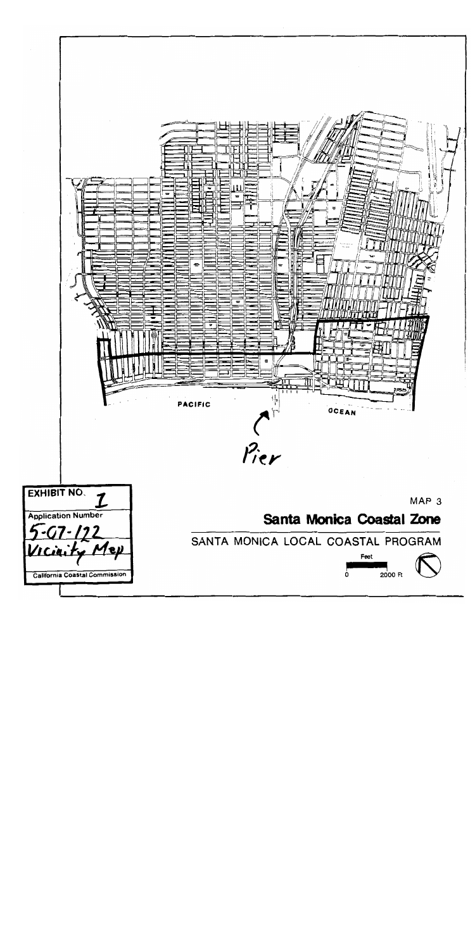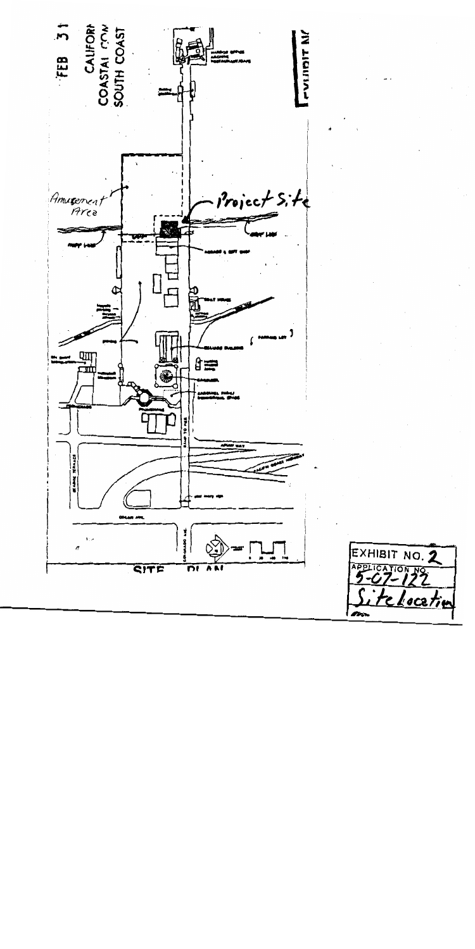

EXHIBIT NO. 2 PELICATION NO. <u>elocatin</u>